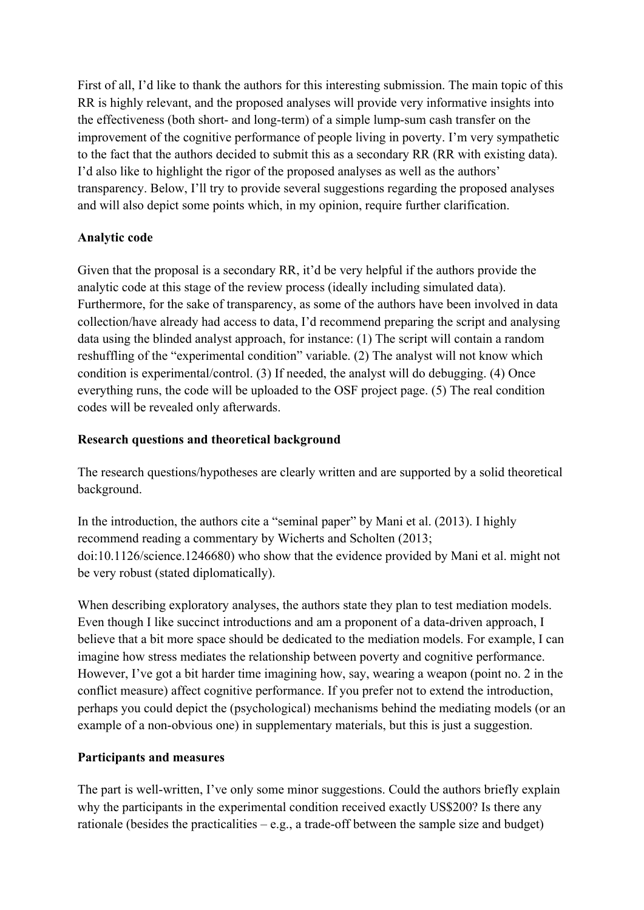First of all, I'd like to thank the authors for this interesting submission. The main topic of this RR is highly relevant, and the proposed analyses will provide very informative insights into the effectiveness (both short- and long-term) of a simple lump-sum cash transfer on the improvement of the cognitive performance of people living in poverty. I'm very sympathetic to the fact that the authors decided to submit this as a secondary RR (RR with existing data). I'd also like to highlight the rigor of the proposed analyses as well as the authors' transparency. Below, I'll try to provide several suggestions regarding the proposed analyses and will also depict some points which, in my opinion, require further clarification.

## **Analytic code**

Given that the proposal is a secondary RR, it'd be very helpful if the authors provide the analytic code at this stage of the review process (ideally including simulated data). Furthermore, for the sake of transparency, as some of the authors have been involved in data collection/have already had access to data, I'd recommend preparing the script and analysing data using the blinded analyst approach, for instance: (1) The script will contain a random reshuffling of the "experimental condition" variable. (2) The analyst will not know which condition is experimental/control. (3) If needed, the analyst will do debugging. (4) Once everything runs, the code will be uploaded to the OSF project page. (5) The real condition codes will be revealed only afterwards.

### **Research questions and theoretical background**

The research questions/hypotheses are clearly written and are supported by a solid theoretical background.

In the introduction, the authors cite a "seminal paper" by Mani et al. (2013). I highly recommend reading a commentary by Wicherts and Scholten (2013; doi:10.1126/science.1246680) who show that the evidence provided by Mani et al. might not be very robust (stated diplomatically).

When describing exploratory analyses, the authors state they plan to test mediation models. Even though I like succinct introductions and am a proponent of a data-driven approach, I believe that a bit more space should be dedicated to the mediation models. For example, I can imagine how stress mediates the relationship between poverty and cognitive performance. However, I've got a bit harder time imagining how, say, wearing a weapon (point no. 2 in the conflict measure) affect cognitive performance. If you prefer not to extend the introduction, perhaps you could depict the (psychological) mechanisms behind the mediating models (or an example of a non-obvious one) in supplementary materials, but this is just a suggestion.

#### **Participants and measures**

The part is well-written, I've only some minor suggestions. Could the authors briefly explain why the participants in the experimental condition received exactly US\$200? Is there any rationale (besides the practicalities – e.g., a trade-off between the sample size and budget)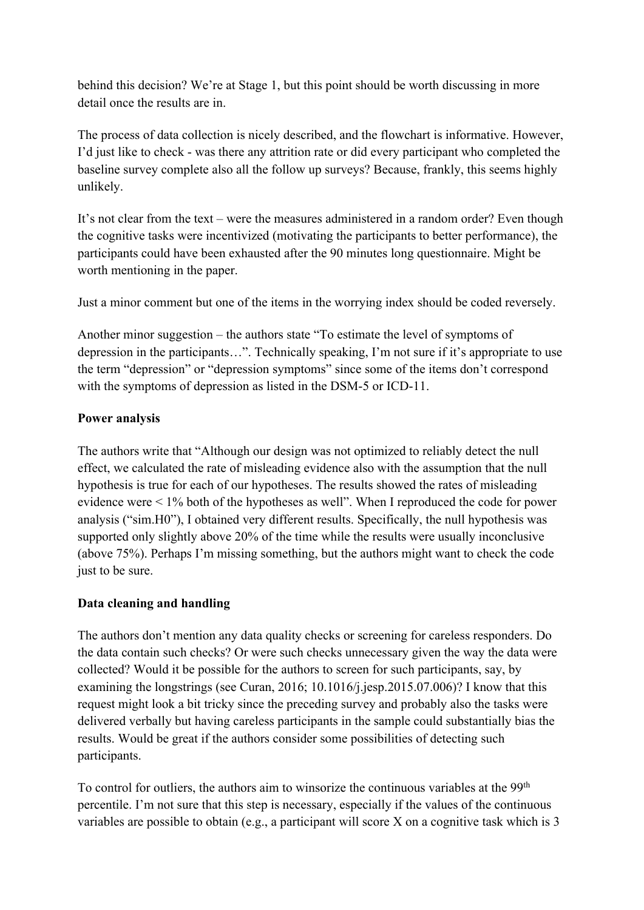behind this decision? We're at Stage 1, but this point should be worth discussing in more detail once the results are in.

The process of data collection is nicely described, and the flowchart is informative. However, I'd just like to check - was there any attrition rate or did every participant who completed the baseline survey complete also all the follow up surveys? Because, frankly, this seems highly unlikely.

It's not clear from the text – were the measures administered in a random order? Even though the cognitive tasks were incentivized (motivating the participants to better performance), the participants could have been exhausted after the 90 minutes long questionnaire. Might be worth mentioning in the paper.

Just a minor comment but one of the items in the worrying index should be coded reversely.

Another minor suggestion – the authors state "To estimate the level of symptoms of depression in the participants…". Technically speaking, I'm not sure if it's appropriate to use the term "depression" or "depression symptoms" since some of the items don't correspond with the symptoms of depression as listed in the DSM-5 or ICD-11.

### **Power analysis**

The authors write that "Although our design was not optimized to reliably detect the null effect, we calculated the rate of misleading evidence also with the assumption that the null hypothesis is true for each of our hypotheses. The results showed the rates of misleading evidence were < 1% both of the hypotheses as well". When I reproduced the code for power analysis ("sim.H0"), I obtained very different results. Specifically, the null hypothesis was supported only slightly above 20% of the time while the results were usually inconclusive (above 75%). Perhaps I'm missing something, but the authors might want to check the code just to be sure.

#### **Data cleaning and handling**

The authors don't mention any data quality checks or screening for careless responders. Do the data contain such checks? Or were such checks unnecessary given the way the data were collected? Would it be possible for the authors to screen for such participants, say, by examining the longstrings (see Curan, 2016; 10.1016/j.jesp.2015.07.006)? I know that this request might look a bit tricky since the preceding survey and probably also the tasks were delivered verbally but having careless participants in the sample could substantially bias the results. Would be great if the authors consider some possibilities of detecting such participants.

To control for outliers, the authors aim to winsorize the continuous variables at the 99<sup>th</sup> percentile. I'm not sure that this step is necessary, especially if the values of the continuous variables are possible to obtain (e.g., a participant will score X on a cognitive task which is 3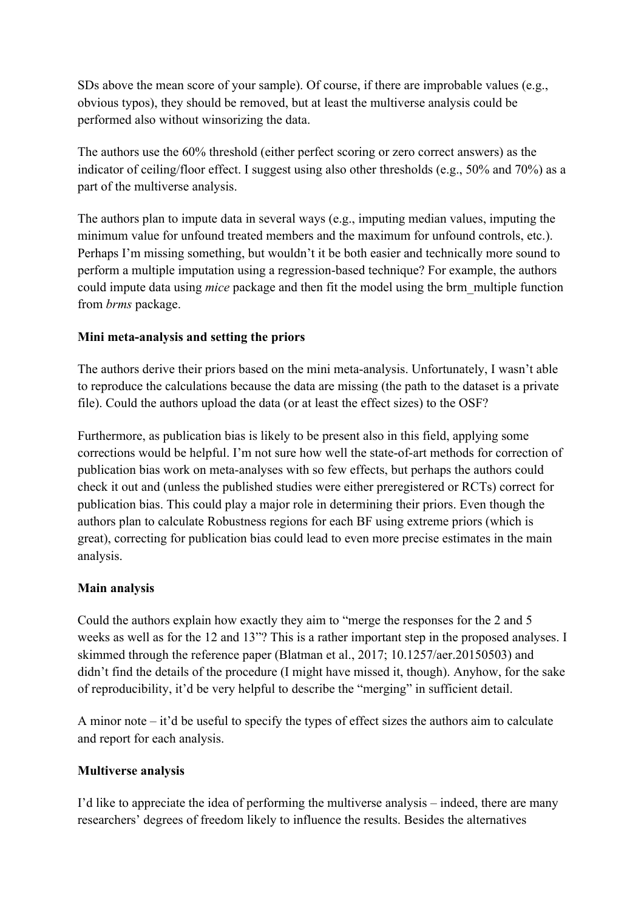SDs above the mean score of your sample). Of course, if there are improbable values (e.g., obvious typos), they should be removed, but at least the multiverse analysis could be performed also without winsorizing the data.

The authors use the 60% threshold (either perfect scoring or zero correct answers) as the indicator of ceiling/floor effect. I suggest using also other thresholds (e.g., 50% and 70%) as a part of the multiverse analysis.

The authors plan to impute data in several ways (e.g., imputing median values, imputing the minimum value for unfound treated members and the maximum for unfound controls, etc.). Perhaps I'm missing something, but wouldn't it be both easier and technically more sound to perform a multiple imputation using a regression-based technique? For example, the authors could impute data using *mice* package and then fit the model using the brm\_multiple function from *brms* package.

### **Mini meta-analysis and setting the priors**

The authors derive their priors based on the mini meta-analysis. Unfortunately, I wasn't able to reproduce the calculations because the data are missing (the path to the dataset is a private file). Could the authors upload the data (or at least the effect sizes) to the OSF?

Furthermore, as publication bias is likely to be present also in this field, applying some corrections would be helpful. I'm not sure how well the state-of-art methods for correction of publication bias work on meta-analyses with so few effects, but perhaps the authors could check it out and (unless the published studies were either preregistered or RCTs) correct for publication bias. This could play a major role in determining their priors. Even though the authors plan to calculate Robustness regions for each BF using extreme priors (which is great), correcting for publication bias could lead to even more precise estimates in the main analysis.

#### **Main analysis**

Could the authors explain how exactly they aim to "merge the responses for the 2 and 5 weeks as well as for the 12 and 13"? This is a rather important step in the proposed analyses. I skimmed through the reference paper (Blatman et al., 2017; 10.1257/aer.20150503) and didn't find the details of the procedure (I might have missed it, though). Anyhow, for the sake of reproducibility, it'd be very helpful to describe the "merging" in sufficient detail.

A minor note – it'd be useful to specify the types of effect sizes the authors aim to calculate and report for each analysis.

## **Multiverse analysis**

I'd like to appreciate the idea of performing the multiverse analysis – indeed, there are many researchers' degrees of freedom likely to influence the results. Besides the alternatives